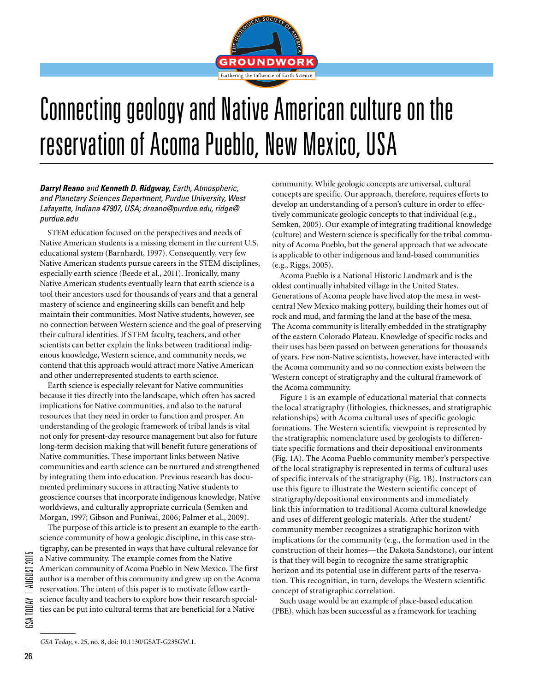

## Connecting geology and Native American culture on the reservation of Acoma Pueblo, New Mexico, USA

*Darryl Reano and Kenneth D. Ridgway, Earth, Atmospheric, and Planetary Sciences Department, Purdue University, West Lafayette, Indiana 47907, USA; dreano@purdue.edu, ridge@ purdue.edu*

STEM education focused on the perspectives and needs of Native American students is a missing element in the current U.S. educational system (Barnhardt, 1997). Consequently, very few Native American students pursue careers in the STEM disciplines, especially earth science (Beede et al., 2011). Ironically, many Native American students eventually learn that earth science is a tool their ancestors used for thousands of years and that a general mastery of science and engineering skills can benefit and help maintain their communities. Most Native students, however, see no connection between Western science and the goal of preserving their cultural identities. If STEM faculty, teachers, and other scientists can better explain the links between traditional indigenous knowledge, Western science, and community needs, we contend that this approach would attract more Native American and other underrepresented students to earth science.

Earth science is especially relevant for Native communities because it ties directly into the landscape, which often has sacred implications for Native communities, and also to the natural resources that they need in order to function and prosper. An understanding of the geologic framework of tribal lands is vital not only for present-day resource management but also for future long-term decision making that will benefit future generations of Native communities. These important links between Native communities and earth science can be nurtured and strengthened by integrating them into education. Previous research has documented preliminary success in attracting Native students to geoscience courses that incorporate indigenous knowledge, Native worldviews, and culturally appropriate curricula (Semken and Morgan, 1997; Gibson and Puniwai, 2006; Palmer et al., 2009).

The purpose of this article is to present an example to the earthscience community of how a geologic discipline, in this case stratigraphy, can be presented in ways that have cultural relevance for a Native community. The example comes from the Native American community of Acoma Pueblo in New Mexico. The first author is a member of this community and grew up on the Acoma reservation. The intent of this paper is to motivate fellow earthscience faculty and teachers to explore how their research specialties can be put into cultural terms that are beneficial for a Native

community. While geologic concepts are universal, cultural concepts are specific. Our approach, therefore, requires efforts to develop an understanding of a person's culture in order to effectively communicate geologic concepts to that individual (e.g., Semken, 2005). Our example of integrating traditional knowledge (culture) and Western science is specifically for the tribal community of Acoma Pueblo, but the general approach that we advocate is applicable to other indigenous and land-based communities (e.g., Riggs, 2005).

Acoma Pueblo is a National Historic Landmark and is the oldest continually inhabited village in the United States. Generations of Acoma people have lived atop the mesa in westcentral New Mexico making pottery, building their homes out of rock and mud, and farming the land at the base of the mesa. The Acoma community is literally embedded in the stratigraphy of the eastern Colorado Plateau. Knowledge of specific rocks and their uses has been passed on between generations for thousands of years. Few non-Native scientists, however, have interacted with the Acoma community and so no connection exists between the Western concept of stratigraphy and the cultural framework of the Acoma community.

Figure 1 is an example of educational material that connects the local stratigraphy (lithologies, thicknesses, and stratigraphic relationships) with Acoma cultural uses of specific geologic formations. The Western scientific viewpoint is represented by the stratigraphic nomenclature used by geologists to differentiate specific formations and their depositional environments (Fig. 1A). The Acoma Pueblo community member's perspective of the local stratigraphy is represented in terms of cultural uses of specific intervals of the stratigraphy (Fig. 1B). Instructors can use this figure to illustrate the Western scientific concept of stratigraphy/depositional environments and immediately link this information to traditional Acoma cultural knowledge and uses of different geologic materials. After the student/ community member recognizes a stratigraphic horizon with implications for the community (e.g., the formation used in the construction of their homes—the Dakota Sandstone), our intent is that they will begin to recognize the same stratigraphic horizon and its potential use in different parts of the reservation. This recognition, in turn, develops the Western scientific concept of stratigraphic correlation.

Such usage would be an example of place-based education (PBE), which has been successful as a framework for teaching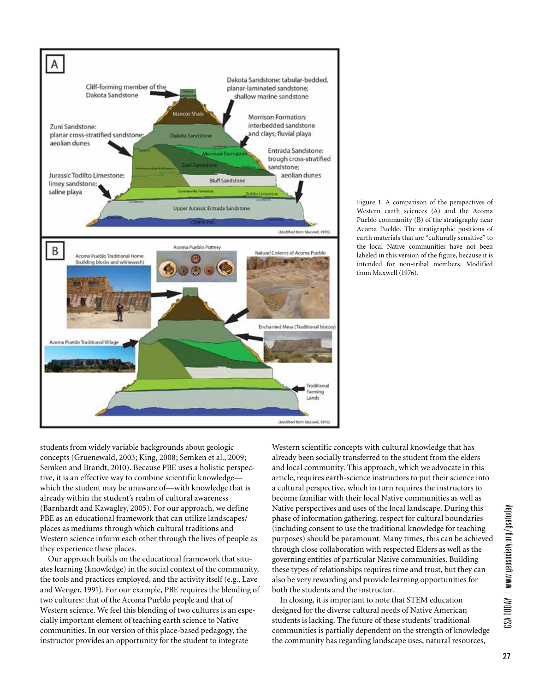

Figure 1. A comparison of the perspectives of Western earth sciences (A) and the Acoma Pueblo community (B) of the stratigraphy near Acoma Pueblo. The stratigraphic positions of earth materials that are "culturally sensitive" to the local Native communities have not been labeled in this version of the figure, because it is intended for non-tribal members. Modified from Maxwell (1976).

students from widely variable backgrounds about geologic concepts (Gruenewald, 2003; King, 2008; Semken et al., 2009; Semken and Brandt, 2010). Because PBE uses a holistic perspective, it is an effective way to combine scientific knowledge which the student may be unaware of—with knowledge that is already within the student's realm of cultural awareness (Barnhardt and Kawagley, 2005). For our approach, we define PBE as an educational framework that can utilize landscapes/ places as mediums through which cultural traditions and Western science inform each other through the lives of people as they experience these places.

Our approach builds on the educational framework that situates learning (knowledge) in the social context of the community, the tools and practices employed, and the activity itself (e.g., Lave and Wenger, 1991). For our example, PBE requires the blending of two cultures: that of the Acoma Pueblo people and that of Western science. We feel this blending of two cultures is an especially important element of teaching earth science to Native communities. In our version of this place-based pedagogy, the instructor provides an opportunity for the student to integrate

Western scientific concepts with cultural knowledge that has already been socially transferred to the student from the elders and local community. This approach, which we advocate in this article, requires earth-science instructors to put their science into a cultural perspective, which in turn requires the instructors to become familiar with their local Native communities as well as Native perspectives and uses of the local landscape. During this phase of information gathering, respect for cultural boundaries (including consent to use the traditional knowledge for teaching purposes) should be paramount. Many times, this can be achieved through close collaboration with respected Elders as well as the governing entities of particular Native communities. Building these types of relationships requires time and trust, but they can also be very rewarding and provide learning opportunities for both the students and the instructor.

In closing, it is important to note that STEM education designed for the diverse cultural needs of Native American students is lacking. The future of these students' traditional communities is partially dependent on the strength of knowledge the community has regarding landscape uses, natural resources,